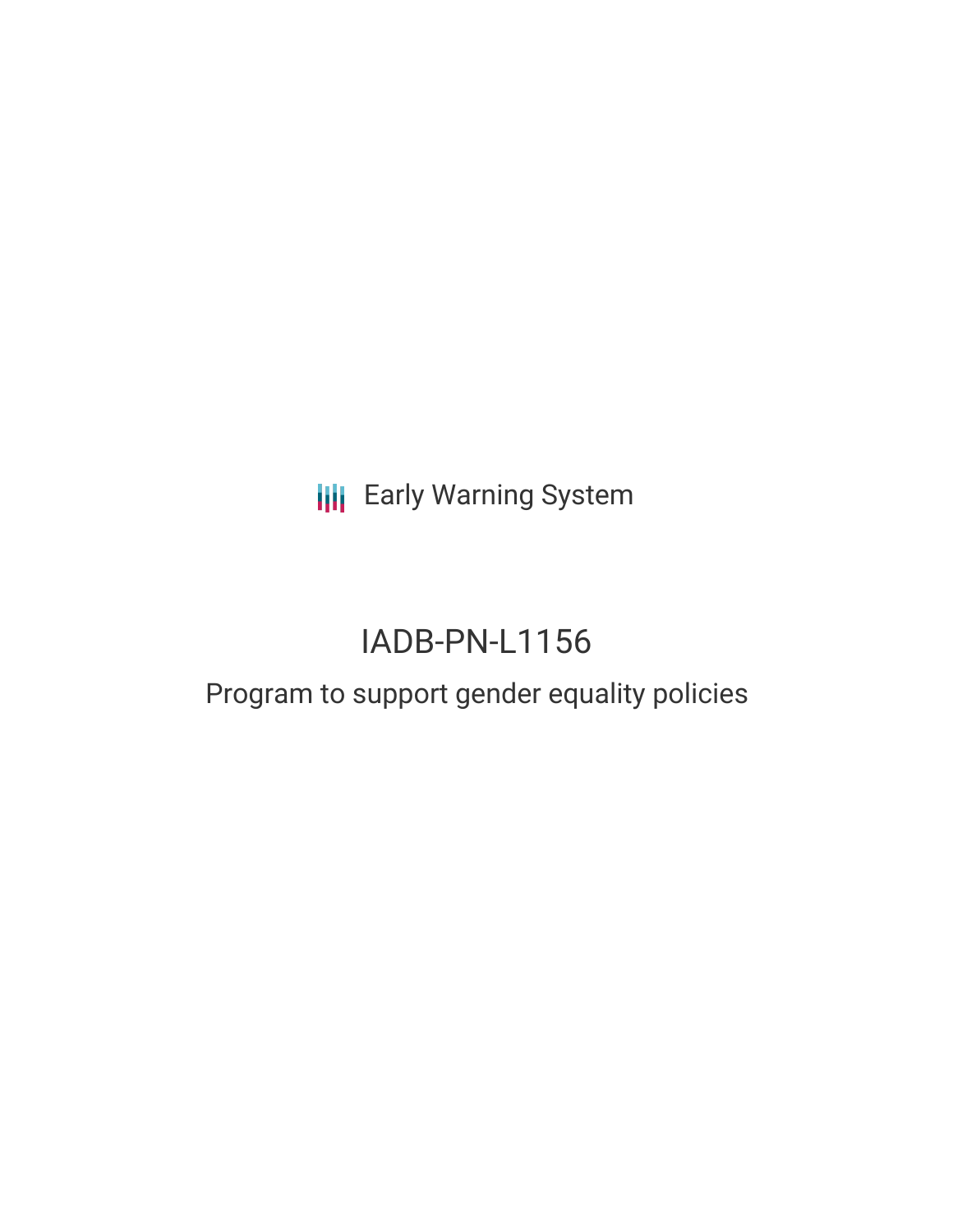**III** Early Warning System

# IADB-PN-L1156

# Program to support gender equality policies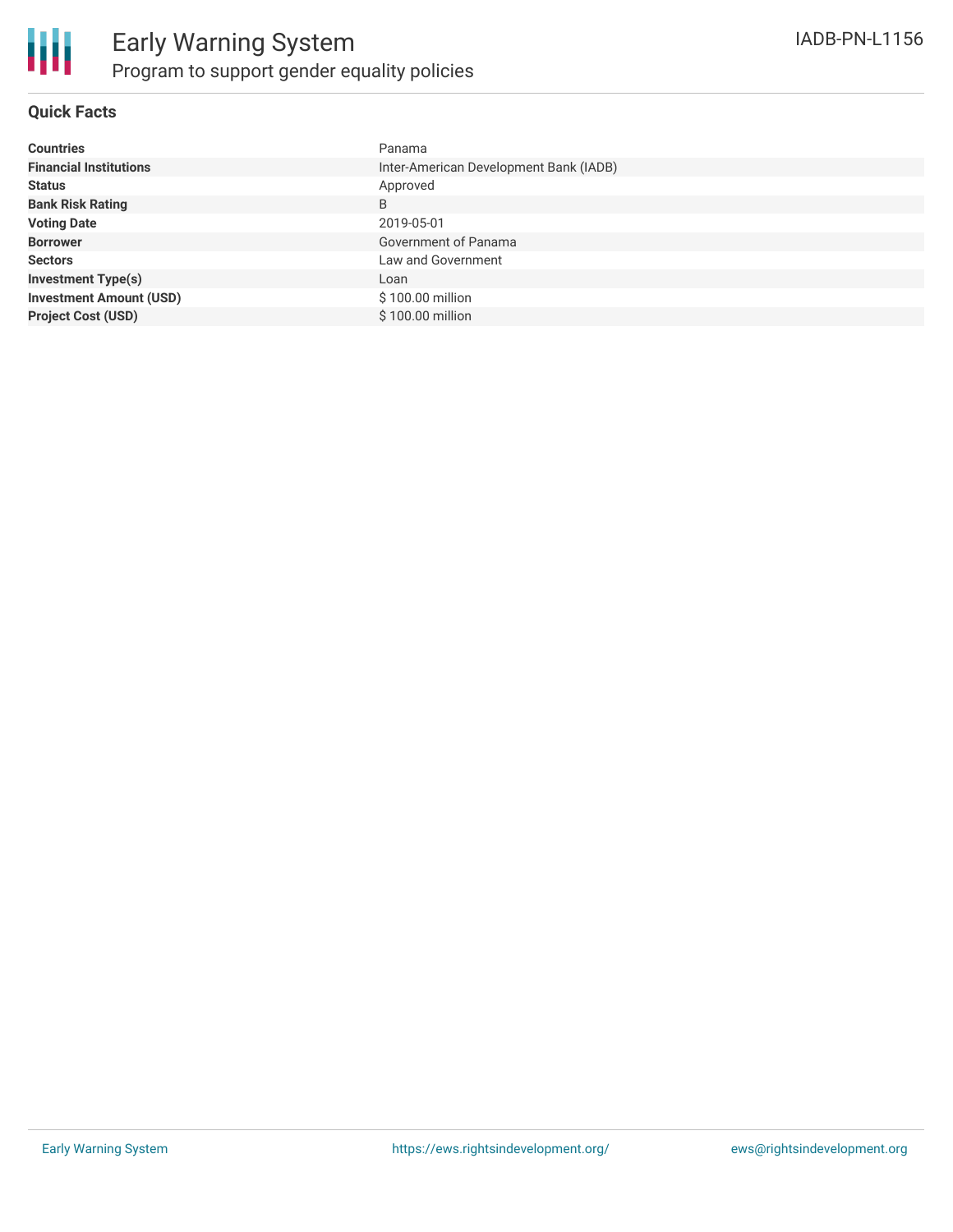

#### **Quick Facts**

| <b>Countries</b>               | Panama                                 |
|--------------------------------|----------------------------------------|
| <b>Financial Institutions</b>  | Inter-American Development Bank (IADB) |
| <b>Status</b>                  | Approved                               |
| <b>Bank Risk Rating</b>        | B                                      |
| <b>Voting Date</b>             | 2019-05-01                             |
| <b>Borrower</b>                | Government of Panama                   |
| <b>Sectors</b>                 | Law and Government                     |
| <b>Investment Type(s)</b>      | Loan                                   |
| <b>Investment Amount (USD)</b> | \$100.00 million                       |
| <b>Project Cost (USD)</b>      | \$100.00 million                       |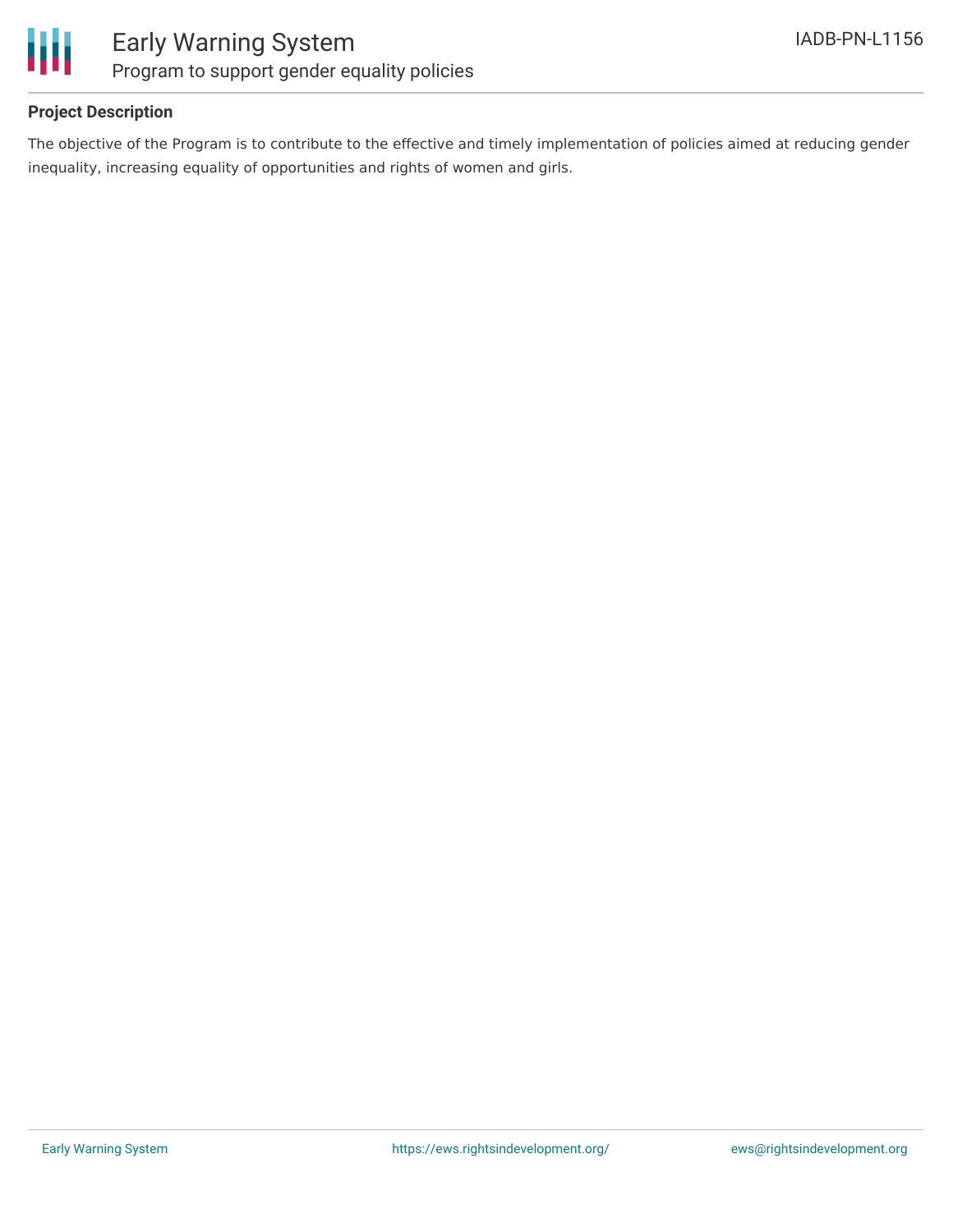

#### **Project Description**

The objective of the Program is to contribute to the effective and timely implementation of policies aimed at reducing gender inequality, increasing equality of opportunities and rights of women and girls.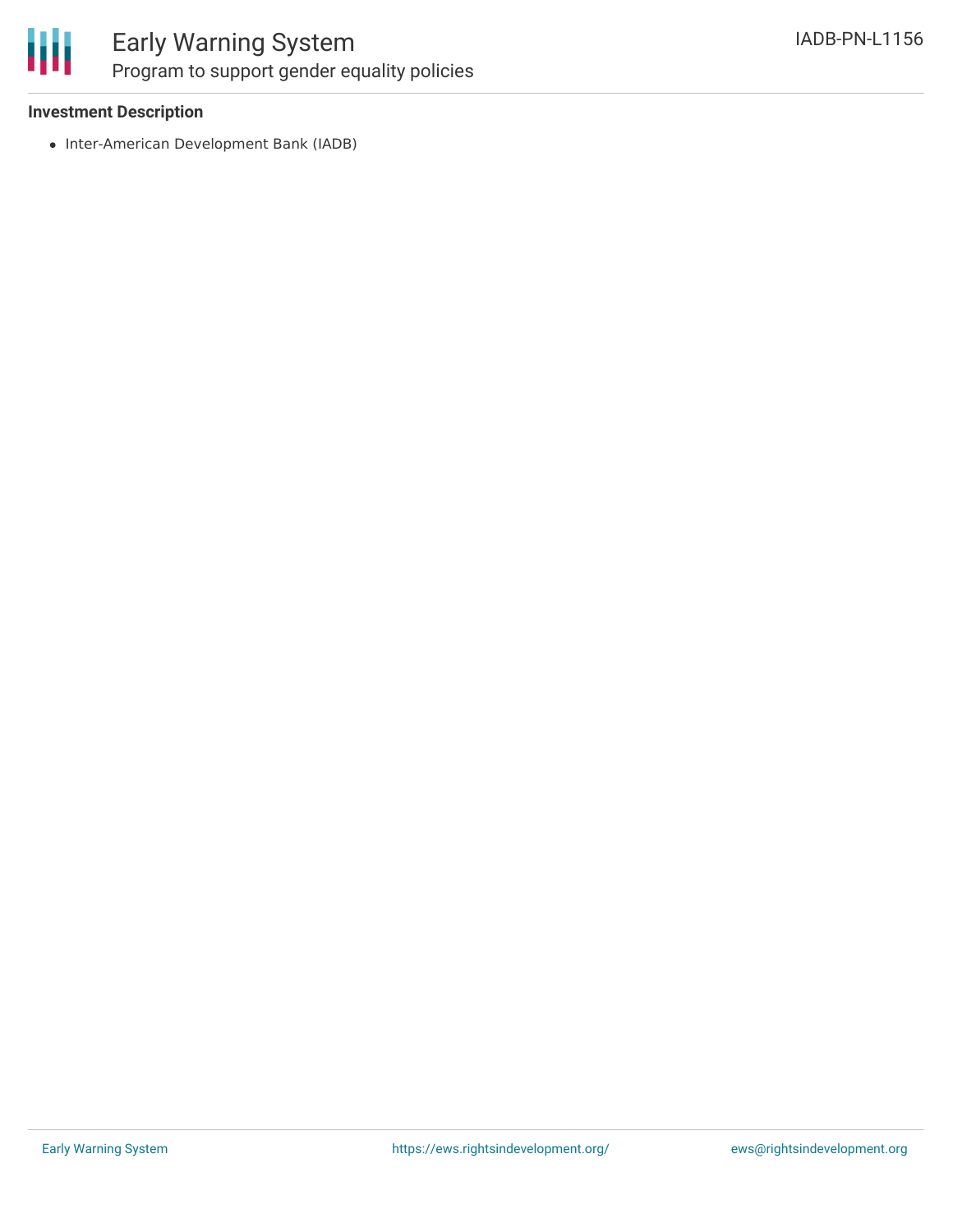

### Early Warning System Program to support gender equality policies

#### **Investment Description**

• Inter-American Development Bank (IADB)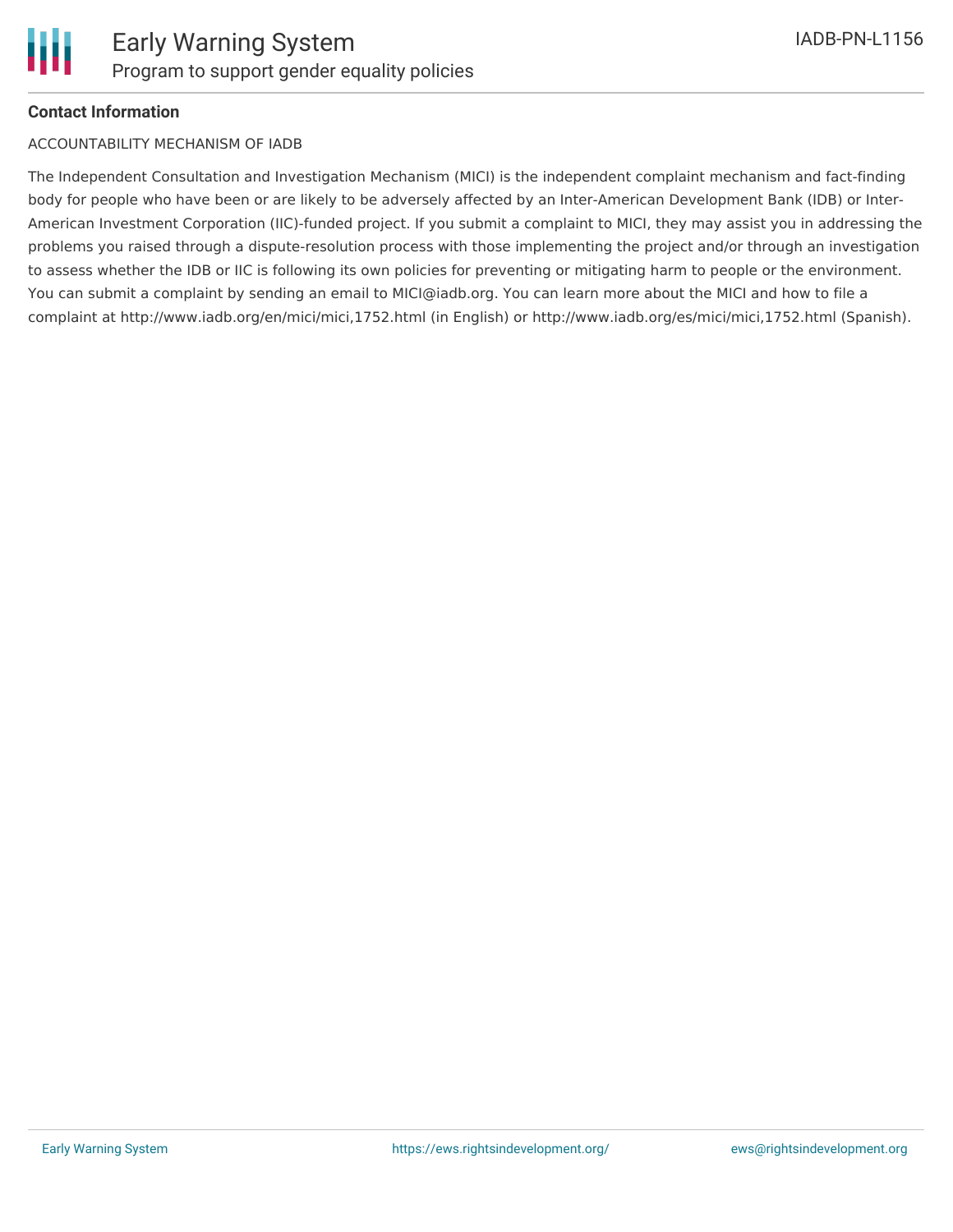#### **Contact Information**

#### ACCOUNTABILITY MECHANISM OF IADB

The Independent Consultation and Investigation Mechanism (MICI) is the independent complaint mechanism and fact-finding body for people who have been or are likely to be adversely affected by an Inter-American Development Bank (IDB) or Inter-American Investment Corporation (IIC)-funded project. If you submit a complaint to MICI, they may assist you in addressing the problems you raised through a dispute-resolution process with those implementing the project and/or through an investigation to assess whether the IDB or IIC is following its own policies for preventing or mitigating harm to people or the environment. You can submit a complaint by sending an email to MICI@iadb.org. You can learn more about the MICI and how to file a complaint at http://www.iadb.org/en/mici/mici,1752.html (in English) or http://www.iadb.org/es/mici/mici,1752.html (Spanish).